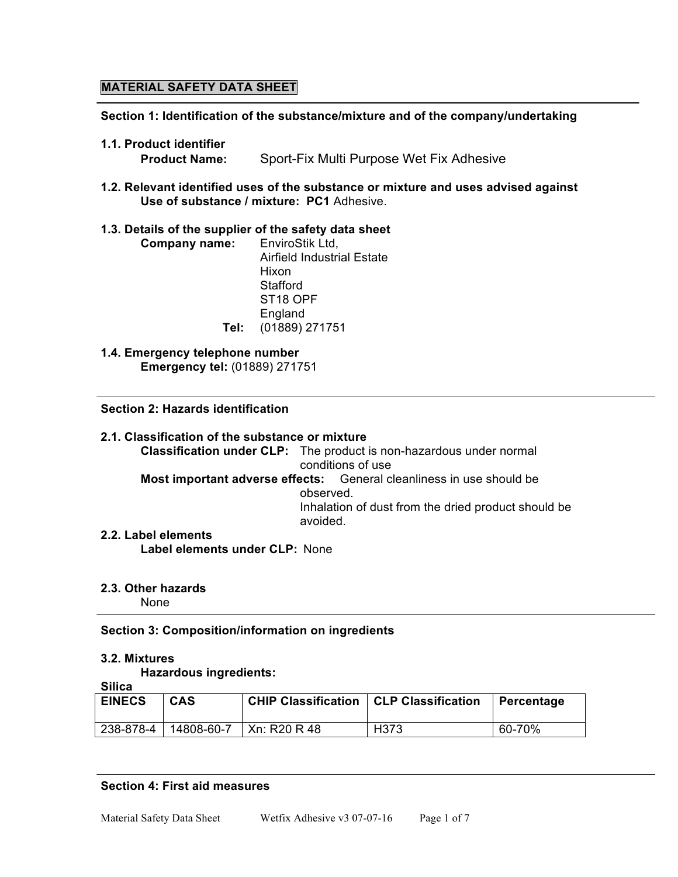# **MATERIAL SAFETY DATA SHEET**

**Section 1: Identification of the substance/mixture and of the company/undertaking**

- **1.1. Product identifier**
	- **Product Name:** Sport-Fix Multi Purpose Wet Fix Adhesive
- **1.2. Relevant identified uses of the substance or mixture and uses advised against Use of substance / mixture: PC1** Adhesive.

## **1.3. Details of the supplier of the safety data sheet**

| EnviroStik Ltd.                   |
|-----------------------------------|
| <b>Airfield Industrial Estate</b> |
| Hixon                             |
| Stafford                          |
| ST <sub>18</sub> OPF              |
| England                           |
| (01889) 271751<br>Tel:            |
|                                   |

**1.4. Emergency telephone number Emergency tel:** (01889) 271751

## **Section 2: Hazards identification**

**2.1. Classification of the substance or mixture Classification under CLP:** The product is non-hazardous under normal conditions of use **Most important adverse effects:** General cleanliness in use should be observed. Inhalation of dust from the dried product should be avoided. **2.2. Label elements**

**Label elements under CLP:** None

## **2.3. Other hazards**

None

## **Section 3: Composition/information on ingredients**

#### **3.2. Mixtures**

**Hazardous ingredients: Silica**

| omua          |            |                                                 |      |            |
|---------------|------------|-------------------------------------------------|------|------------|
| <b>EINECS</b> | <b>CAS</b> | <b>CHIP Classification   CLP Classification</b> |      | Percentage |
| 238-878-4     | 14808-60-7 | Xn: R20 R 48                                    | H373 | 60-70%     |

#### **Section 4: First aid measures**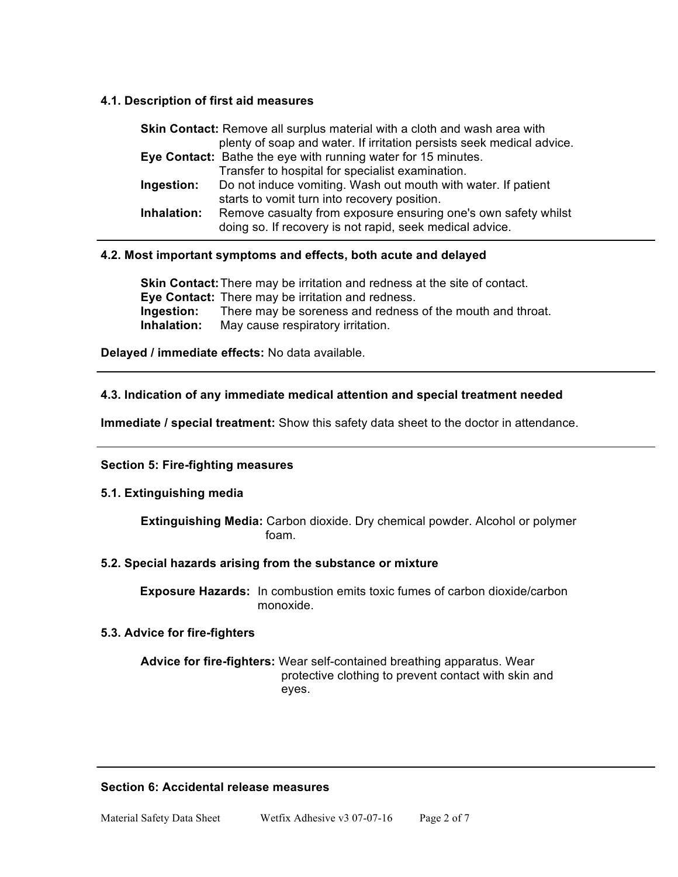## **4.1. Description of first aid measures**

| <b>Skin Contact:</b> Remove all surplus material with a cloth and wash area with |                                                                       |  |
|----------------------------------------------------------------------------------|-----------------------------------------------------------------------|--|
|                                                                                  | plenty of soap and water. If irritation persists seek medical advice. |  |
|                                                                                  | Eye Contact: Bathe the eye with running water for 15 minutes.         |  |
|                                                                                  | Transfer to hospital for specialist examination.                      |  |
| Ingestion:                                                                       | Do not induce vomiting. Wash out mouth with water. If patient         |  |
|                                                                                  | starts to vomit turn into recovery position.                          |  |
| Inhalation:                                                                      | Remove casualty from exposure ensuring one's own safety whilst        |  |
|                                                                                  | doing so. If recovery is not rapid, seek medical advice.              |  |

## **4.2. Most important symptoms and effects, both acute and delayed**

**Skin Contact:**There may be irritation and redness at the site of contact. **Eye Contact:** There may be irritation and redness. **Ingestion:** There may be soreness and redness of the mouth and throat. **Inhalation:** May cause respiratory irritation.

**Delayed / immediate effects:** No data available.

## **4.3. Indication of any immediate medical attention and special treatment needed**

**Immediate / special treatment:** Show this safety data sheet to the doctor in attendance.

## **Section 5: Fire-fighting measures**

## **5.1. Extinguishing media**

**Extinguishing Media:** Carbon dioxide. Dry chemical powder. Alcohol or polymer foam.

## **5.2. Special hazards arising from the substance or mixture**

**Exposure Hazards:** In combustion emits toxic fumes of carbon dioxide/carbon monoxide.

## **5.3. Advice for fire-fighters**

**Advice for fire-fighters:** Wear self-contained breathing apparatus. Wear protective clothing to prevent contact with skin and eyes.

## **Section 6: Accidental release measures**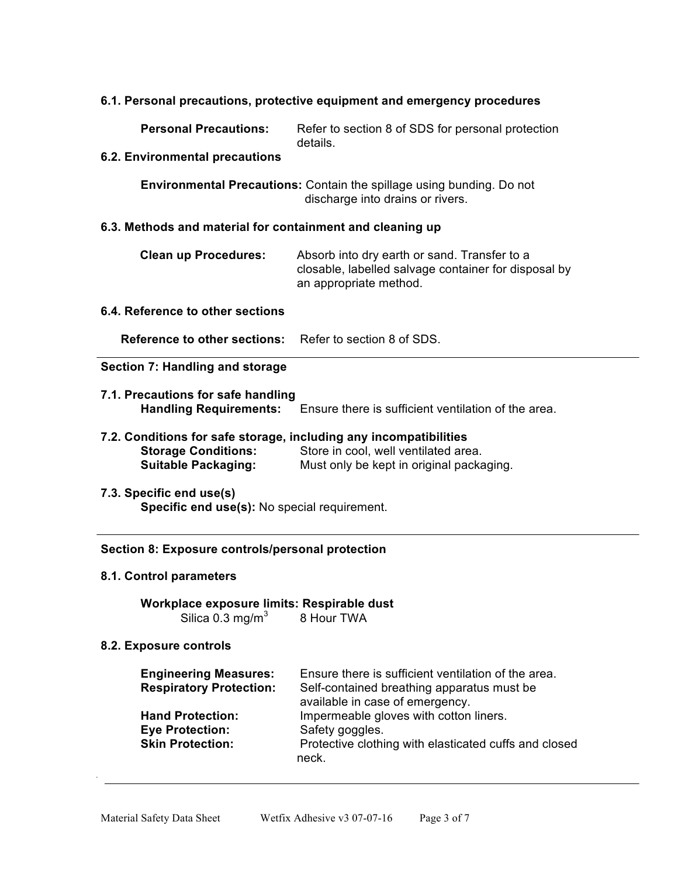## **6.1. Personal precautions, protective equipment and emergency procedures**

**Personal Precautions:** Refer to section 8 of SDS for personal protection details.

#### **6.2. Environmental precautions**

**Environmental Precautions:** Contain the spillage using bunding. Do not discharge into drains or rivers.

### **6.3. Methods and material for containment and cleaning up**

| <b>Clean up Procedures:</b> | Absorb into dry earth or sand. Transfer to a         |
|-----------------------------|------------------------------------------------------|
|                             | closable, labelled salvage container for disposal by |
|                             | an appropriate method.                               |

## **6.4. Reference to other sections**

**Reference to other sections:** Refer to section 8 of SDS.

## **Section 7: Handling and storage**

 $\overline{a}$ 

- **7.1. Precautions for safe handling Handling Requirements:** Ensure there is sufficient ventilation of the area.
- **7.2. Conditions for safe storage, including any incompatibilities Storage Conditions:** Store in cool, well ventilated area. **Suitable Packaging:** Must only be kept in original packaging.
- **7.3. Specific end use(s) Specific end use(s):** No special requirement.

### **Section 8: Exposure controls/personal protection**

#### **8.1. Control parameters**

**Workplace exposure limits: Respirable dust** Silica  $0.3 \text{ mg/m}^3$  8 Hour TWA

#### **8.2. Exposure controls**

| <b>Engineering Measures:</b><br><b>Respiratory Protection:</b>               | Ensure there is sufficient ventilation of the area.<br>Self-contained breathing apparatus must be<br>available in case of emergency. |
|------------------------------------------------------------------------------|--------------------------------------------------------------------------------------------------------------------------------------|
| <b>Hand Protection:</b><br><b>Eye Protection:</b><br><b>Skin Protection:</b> | Impermeable gloves with cotton liners.<br>Safety goggles.<br>Protective clothing with elasticated cuffs and closed<br>neck.          |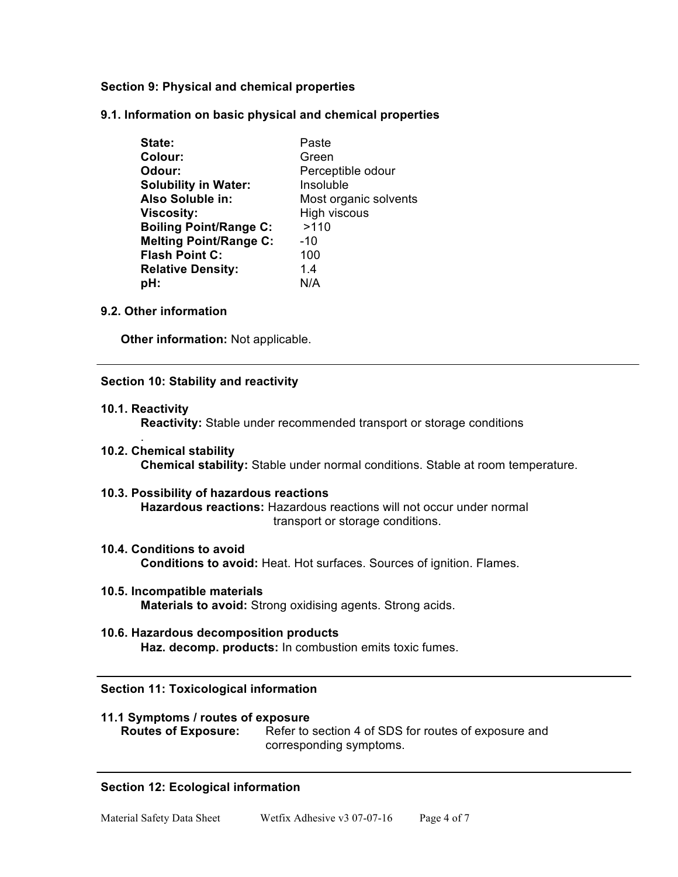## **Section 9: Physical and chemical properties**

**9.1. Information on basic physical and chemical properties**

| State:                        | Paste                 |
|-------------------------------|-----------------------|
| Colour:                       | Green                 |
| Odour:                        | Perceptible odour     |
| <b>Solubility in Water:</b>   | Insoluble             |
| Also Soluble in:              | Most organic solvents |
| <b>Viscosity:</b>             | <b>High viscous</b>   |
| <b>Boiling Point/Range C:</b> | >110                  |
| <b>Melting Point/Range C:</b> | $-10$                 |
| <b>Flash Point C:</b>         | 100                   |
| <b>Relative Density:</b>      | 14                    |
| pH:                           | N/A                   |

## **9.2. Other information**

**Other information:** Not applicable.

## **Section 10: Stability and reactivity**

**10.1. Reactivity**

.

**Reactivity:** Stable under recommended transport or storage conditions

- **10.2. Chemical stability Chemical stability:** Stable under normal conditions. Stable at room temperature.
- **10.3. Possibility of hazardous reactions Hazardous reactions:** Hazardous reactions will not occur under normal transport or storage conditions.
- **10.4. Conditions to avoid Conditions to avoid:** Heat. Hot surfaces. Sources of ignition. Flames.
- **10.5. Incompatible materials Materials to avoid:** Strong oxidising agents. Strong acids.
- **10.6. Hazardous decomposition products Haz. decomp. products:** In combustion emits toxic fumes.

## **Section 11: Toxicological information**

| 11.1 Symptoms / routes of exposure |                                                      |  |
|------------------------------------|------------------------------------------------------|--|
| <b>Routes of Exposure:</b>         | Refer to section 4 of SDS for routes of exposure and |  |
|                                    | corresponding symptoms.                              |  |

## **Section 12: Ecological information**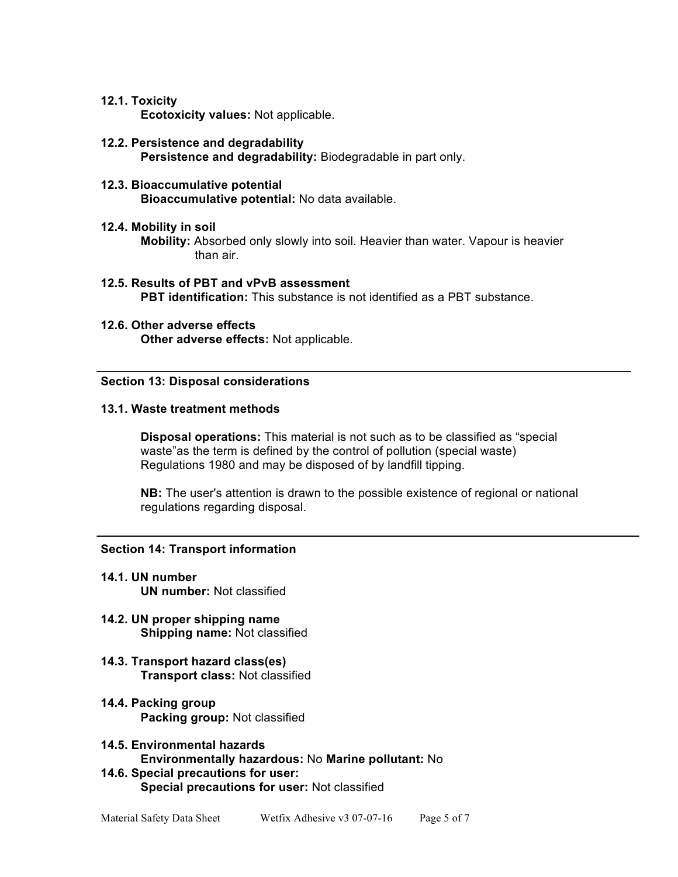## **12.1. Toxicity**

**Ecotoxicity values:** Not applicable.

**12.2. Persistence and degradability Persistence and degradability:** Biodegradable in part only.

### **12.3. Bioaccumulative potential Bioaccumulative potential:** No data available.

## **12.4. Mobility in soil**

**Mobility:** Absorbed only slowly into soil. Heavier than water. Vapour is heavier than air.

- **12.5. Results of PBT and vPvB assessment PBT identification:** This substance is not identified as a PBT substance.
- **12.6. Other adverse effects Other adverse effects:** Not applicable.

## **Section 13: Disposal considerations**

#### **13.1. Waste treatment methods**

**Disposal operations:** This material is not such as to be classified as "special waste"as the term is defined by the control of pollution (special waste) Regulations 1980 and may be disposed of by landfill tipping.

**NB:** The user's attention is drawn to the possible existence of regional or national regulations regarding disposal.

## **Section 14: Transport information**

- **14.1. UN number UN number:** Not classified
- **14.2. UN proper shipping name Shipping name:** Not classified
- **14.3. Transport hazard class(es) Transport class:** Not classified
- **14.4. Packing group Packing group:** Not classified
- **14.5. Environmental hazards Environmentally hazardous:** No **Marine pollutant:** No
- **14.6. Special precautions for user: Special precautions for user:** Not classified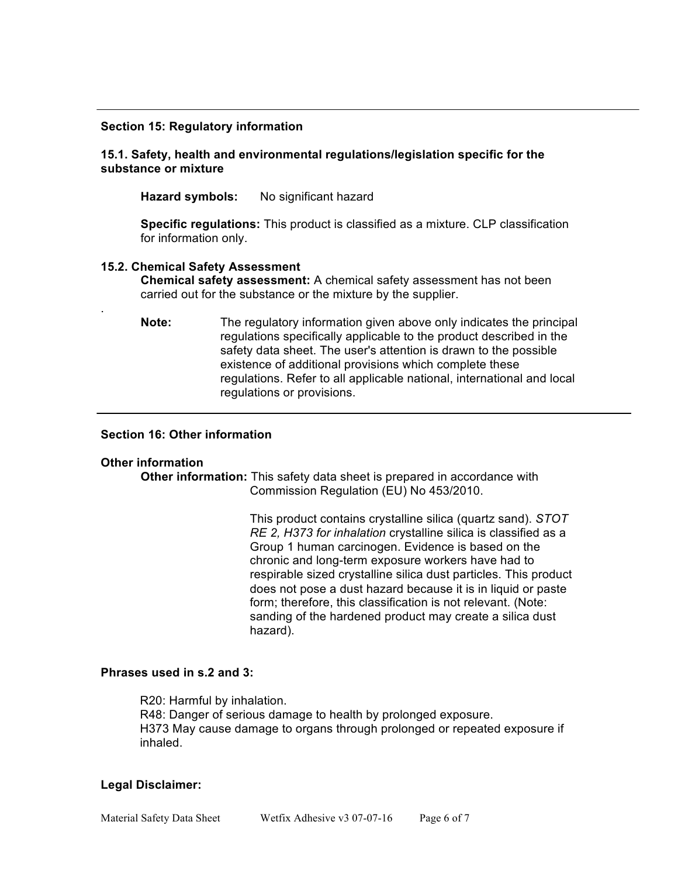#### **Section 15: Regulatory information**

## **15.1. Safety, health and environmental regulations/legislation specific for the substance or mixture**

**Hazard symbols:** No significant hazard

**Specific regulations:** This product is classified as a mixture. CLP classification for information only.

#### **15.2. Chemical Safety Assessment**

**Chemical safety assessment:** A chemical safety assessment has not been carried out for the substance or the mixture by the supplier.

**Note:** The regulatory information given above only indicates the principal regulations specifically applicable to the product described in the safety data sheet. The user's attention is drawn to the possible existence of additional provisions which complete these regulations. Refer to all applicable national, international and local regulations or provisions.

## **Section 16: Other information**

#### **Other information**

.

**Other information:** This safety data sheet is prepared in accordance with Commission Regulation (EU) No 453/2010.

> This product contains crystalline silica (quartz sand). *STOT RE 2, H373 for inhalation* crystalline silica is classified as a Group 1 human carcinogen. Evidence is based on the chronic and long-term exposure workers have had to respirable sized crystalline silica dust particles. This product does not pose a dust hazard because it is in liquid or paste form; therefore, this classification is not relevant. (Note: sanding of the hardened product may create a silica dust hazard).

### **Phrases used in s.2 and 3:**

R20: Harmful by inhalation. R48: Danger of serious damage to health by prolonged exposure. H373 May cause damage to organs through prolonged or repeated exposure if inhaled.

#### **Legal Disclaimer:**